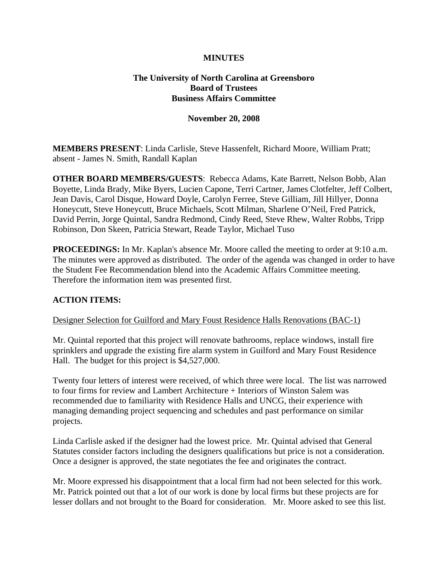# **MINUTES**

# **The University of North Carolina at Greensboro Board of Trustees Business Affairs Committee**

### **November 20, 2008**

**MEMBERS PRESENT**: Linda Carlisle, Steve Hassenfelt, Richard Moore, William Pratt; absent - James N. Smith, Randall Kaplan

**OTHER BOARD MEMBERS/GUESTS**: Rebecca Adams, Kate Barrett, Nelson Bobb, Alan Boyette, Linda Brady, Mike Byers, Lucien Capone, Terri Cartner, James Clotfelter, Jeff Colbert, Jean Davis, Carol Disque, Howard Doyle, Carolyn Ferree, Steve Gilliam, Jill Hillyer, Donna Honeycutt, Steve Honeycutt, Bruce Michaels, Scott Milman, Sharlene O'Neil, Fred Patrick, David Perrin, Jorge Quintal, Sandra Redmond, Cindy Reed, Steve Rhew, Walter Robbs, Tripp Robinson, Don Skeen, Patricia Stewart, Reade Taylor, Michael Tuso

**PROCEEDINGS:** In Mr. Kaplan's absence Mr. Moore called the meeting to order at 9:10 a.m. The minutes were approved as distributed. The order of the agenda was changed in order to have the Student Fee Recommendation blend into the Academic Affairs Committee meeting. Therefore the information item was presented first.

### **ACTION ITEMS:**

#### Designer Selection for Guilford and Mary Foust Residence Halls Renovations (BAC-1)

Mr. Quintal reported that this project will renovate bathrooms, replace windows, install fire sprinklers and upgrade the existing fire alarm system in Guilford and Mary Foust Residence Hall. The budget for this project is \$4,527,000.

Twenty four letters of interest were received, of which three were local. The list was narrowed to four firms for review and Lambert Architecture + Interiors of Winston Salem was recommended due to familiarity with Residence Halls and UNCG, their experience with managing demanding project sequencing and schedules and past performance on similar projects.

Linda Carlisle asked if the designer had the lowest price. Mr. Quintal advised that General Statutes consider factors including the designers qualifications but price is not a consideration. Once a designer is approved, the state negotiates the fee and originates the contract.

Mr. Moore expressed his disappointment that a local firm had not been selected for this work. Mr. Patrick pointed out that a lot of our work is done by local firms but these projects are for lesser dollars and not brought to the Board for consideration. Mr. Moore asked to see this list.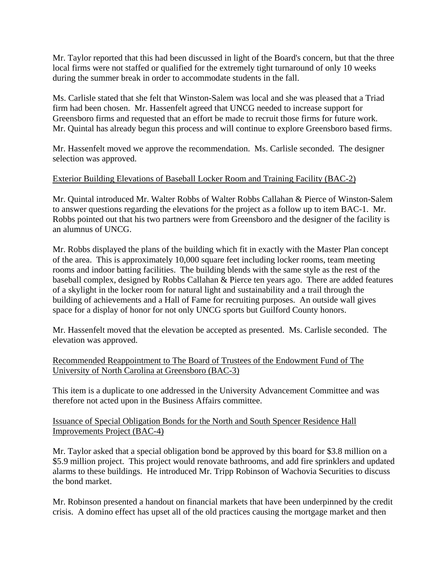Mr. Taylor reported that this had been discussed in light of the Board's concern, but that the three local firms were not staffed or qualified for the extremely tight turnaround of only 10 weeks during the summer break in order to accommodate students in the fall.

Ms. Carlisle stated that she felt that Winston-Salem was local and she was pleased that a Triad firm had been chosen. Mr. Hassenfelt agreed that UNCG needed to increase support for Greensboro firms and requested that an effort be made to recruit those firms for future work. Mr. Quintal has already begun this process and will continue to explore Greensboro based firms.

Mr. Hassenfelt moved we approve the recommendation. Ms. Carlisle seconded. The designer selection was approved.

# Exterior Building Elevations of Baseball Locker Room and Training Facility (BAC-2)

Mr. Quintal introduced Mr. Walter Robbs of Walter Robbs Callahan & Pierce of Winston-Salem to answer questions regarding the elevations for the project as a follow up to item BAC-1. Mr. Robbs pointed out that his two partners were from Greensboro and the designer of the facility is an alumnus of UNCG.

Mr. Robbs displayed the plans of the building which fit in exactly with the Master Plan concept of the area. This is approximately 10,000 square feet including locker rooms, team meeting rooms and indoor batting facilities. The building blends with the same style as the rest of the baseball complex, designed by Robbs Callahan & Pierce ten years ago. There are added features of a skylight in the locker room for natural light and sustainability and a trail through the building of achievements and a Hall of Fame for recruiting purposes. An outside wall gives space for a display of honor for not only UNCG sports but Guilford County honors.

Mr. Hassenfelt moved that the elevation be accepted as presented. Ms. Carlisle seconded. The elevation was approved.

Recommended Reappointment to The Board of Trustees of the Endowment Fund of The University of North Carolina at Greensboro (BAC-3)

This item is a duplicate to one addressed in the University Advancement Committee and was therefore not acted upon in the Business Affairs committee.

Issuance of Special Obligation Bonds for the North and South Spencer Residence Hall Improvements Project (BAC-4)

Mr. Taylor asked that a special obligation bond be approved by this board for \$3.8 million on a \$5.9 million project. This project would renovate bathrooms, and add fire sprinklers and updated alarms to these buildings. He introduced Mr. Tripp Robinson of Wachovia Securities to discuss the bond market.

Mr. Robinson presented a handout on financial markets that have been underpinned by the credit crisis. A domino effect has upset all of the old practices causing the mortgage market and then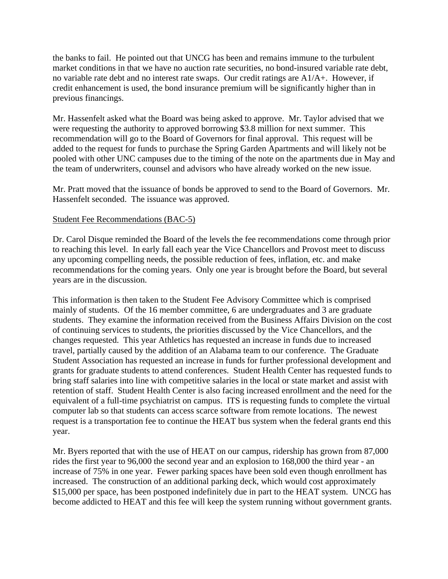the banks to fail. He pointed out that UNCG has been and remains immune to the turbulent market conditions in that we have no auction rate securities, no bond-insured variable rate debt, no variable rate debt and no interest rate swaps. Our credit ratings are A1/A+. However, if credit enhancement is used, the bond insurance premium will be significantly higher than in previous financings.

Mr. Hassenfelt asked what the Board was being asked to approve. Mr. Taylor advised that we were requesting the authority to approved borrowing \$3.8 million for next summer. This recommendation will go to the Board of Governors for final approval. This request will be added to the request for funds to purchase the Spring Garden Apartments and will likely not be pooled with other UNC campuses due to the timing of the note on the apartments due in May and the team of underwriters, counsel and advisors who have already worked on the new issue.

Mr. Pratt moved that the issuance of bonds be approved to send to the Board of Governors. Mr. Hassenfelt seconded. The issuance was approved.

# Student Fee Recommendations (BAC-5)

Dr. Carol Disque reminded the Board of the levels the fee recommendations come through prior to reaching this level. In early fall each year the Vice Chancellors and Provost meet to discuss any upcoming compelling needs, the possible reduction of fees, inflation, etc. and make recommendations for the coming years. Only one year is brought before the Board, but several years are in the discussion.

This information is then taken to the Student Fee Advisory Committee which is comprised mainly of students. Of the 16 member committee, 6 are undergraduates and 3 are graduate students. They examine the information received from the Business Affairs Division on the cost of continuing services to students, the priorities discussed by the Vice Chancellors, and the changes requested. This year Athletics has requested an increase in funds due to increased travel, partially caused by the addition of an Alabama team to our conference. The Graduate Student Association has requested an increase in funds for further professional development and grants for graduate students to attend conferences. Student Health Center has requested funds to bring staff salaries into line with competitive salaries in the local or state market and assist with retention of staff. Student Health Center is also facing increased enrollment and the need for the equivalent of a full-time psychiatrist on campus. ITS is requesting funds to complete the virtual computer lab so that students can access scarce software from remote locations. The newest request is a transportation fee to continue the HEAT bus system when the federal grants end this year.

Mr. Byers reported that with the use of HEAT on our campus, ridership has grown from 87,000 rides the first year to 96,000 the second year and an explosion to 168,000 the third year - an increase of 75% in one year. Fewer parking spaces have been sold even though enrollment has increased. The construction of an additional parking deck, which would cost approximately \$15,000 per space, has been postponed indefinitely due in part to the HEAT system. UNCG has become addicted to HEAT and this fee will keep the system running without government grants.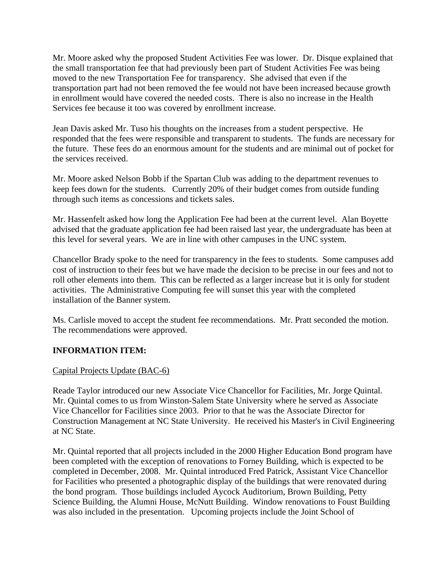Mr. Moore asked why the proposed Student Activities Fee was lower. Dr. Disque explained that the small transportation fee that had previously been part of Student Activities Fee was being moved to the new Transportation Fee for transparency. She advised that even if the transportation part had not been removed the fee would not have been increased because growth in enrollment would have covered the needed costs. There is also no increase in the Health Services fee because it too was covered by enrollment increase.

Jean Davis asked Mr. Tuso his thoughts on the increases from a student perspective. He responded that the fees were responsible and transparent to students. The funds are necessary for the future. These fees do an enormous amount for the students and are minimal out of pocket for the services received.

Mr. Moore asked Nelson Bobb if the Spartan Club was adding to the department revenues to keep fees down for the students. Currently 20% of their budget comes from outside funding through such items as concessions and tickets sales.

Mr. Hassenfelt asked how long the Application Fee had been at the current level. Alan Boyette advised that the graduate application fee had been raised last year, the undergraduate has been at this level for several years. We are in line with other campuses in the UNC system.

Chancellor Brady spoke to the need for transparency in the fees to students. Some campuses add cost of instruction to their fees but we have made the decision to be precise in our fees and not to roll other elements into them. This can be reflected as a larger increase but it is only for student activities. The Administrative Computing fee will sunset this year with the completed installation of the Banner system.

Ms. Carlisle moved to accept the student fee recommendations. Mr. Pratt seconded the motion. The recommendations were approved.

# **INFORMATION ITEM:**

### Capital Projects Update (BAC-6)

Reade Taylor introduced our new Associate Vice Chancellor for Facilities, Mr. Jorge Quintal. Mr. Quintal comes to us from Winston-Salem State University where he served as Associate Vice Chancellor for Facilities since 2003. Prior to that he was the Associate Director for Construction Management at NC State University. He received his Master's in Civil Engineering at NC State.

Mr. Quintal reported that all projects included in the 2000 Higher Education Bond program have been completed with the exception of renovations to Forney Building, which is expected to be completed in December, 2008. Mr. Quintal introduced Fred Patrick, Assistant Vice Chancellor for Facilities who presented a photographic display of the buildings that were renovated during the bond program. Those buildings included Aycock Auditorium, Brown Building, Petty Science Building, the Alumni House, McNutt Building. Window renovations to Foust Building was also included in the presentation. Upcoming projects include the Joint School of